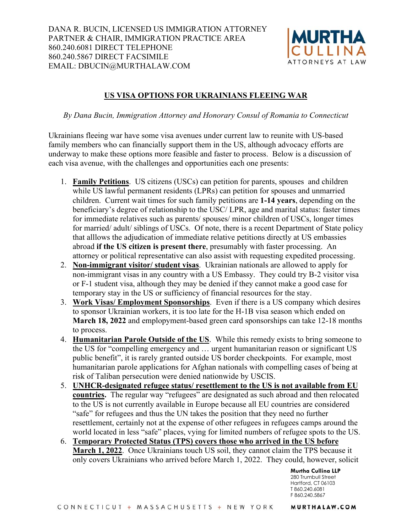

## **US VISA OPTIONS FOR UKRAINIANS FLEEING WAR**

*By Dana Bucin, Immigration Attorney and Honorary Consul of Romania to Connecticut* 

Ukrainians fleeing war have some visa avenues under current law to reunite with US-based family members who can financially support them in the US, although advocacy efforts are underway to make these options more feasible and faster to process. Below is a discussion of each visa avenue, with the challenges and opportunities each one presents:

- 1. **Family Petitions**. US citizens (USCs) can petition for parents, spouses and children while US lawful permanent residents (LPRs) can petition for spouses and unmarried children. Current wait times for such family petitions are **1-14 years**, depending on the beneficiary's degree of relationship to the USC/ LPR, age and marital status: faster times for immediate relatives such as parents/ spouses/ minor children of USCs, longer times for married/ adult/ siblings of USCs. Of note, there is a recent Department of State policy that alllows the adjudication of immediate relative petitions directly at US embassies abroad **if the US citizen is present there**, presumably with faster processing. An attorney or political representative can also assist with requesting expedited processing.
- 2. **Non-immigrant visitor/ student visas**. Ukrainian nationals are allowed to apply for non-immigrant visas in any country with a US Embassy. They could try B-2 visitor visa or F-1 student visa, although they may be denied if they cannot make a good case for temporary stay in the US or sufficiency of financial resources for the stay.
- 3. **Work Visas/ Employment Sponsorships**. Even if there is a US company which desires to sponsor Ukrainian workers, it is too late for the H-1B visa season which ended on **March 18, 2022** and emplopyment-based green card sponsorships can take 12-18 months to process.
- 4. **Humanitarian Parole Outside of the US**. While this remedy exists to bring someone to the US for "compelling emergency and … urgent humanitarian reason or significant US public benefit", it is rarely granted outside US border checkpoints. For example, most humanitarian parole applications for Afghan nationals with compelling cases of being at risk of Taliban persecution were denied nationwide by USCIS.
- 5. **UNHCR-designated refugee status/ resettlement to the US is not available from EU countries.** The regular way "refugees" are designated as such abroad and then relocated to the US is not currently available in Europe because all EU countries are considered "safe" for refugees and thus the UN takes the position that they need no further resettlement, certainly not at the expense of other refugees in refugees camps around the world located in less "safe" places, vying for limited numbers of refugee spots to the US.
- 6. **Temporary Protected Status (TPS) covers those who arrived in the US before March 1, 2022**. Once Ukrainians touch US soil, they cannot claim the TPS because it only covers Ukrainians who arrived before March 1, 2022. They could, however, solicit

**Murtha Cullina LLP**  280 Trumbull Street Hartford, CT 06103 T 860.240.6081 F 860.240.5867